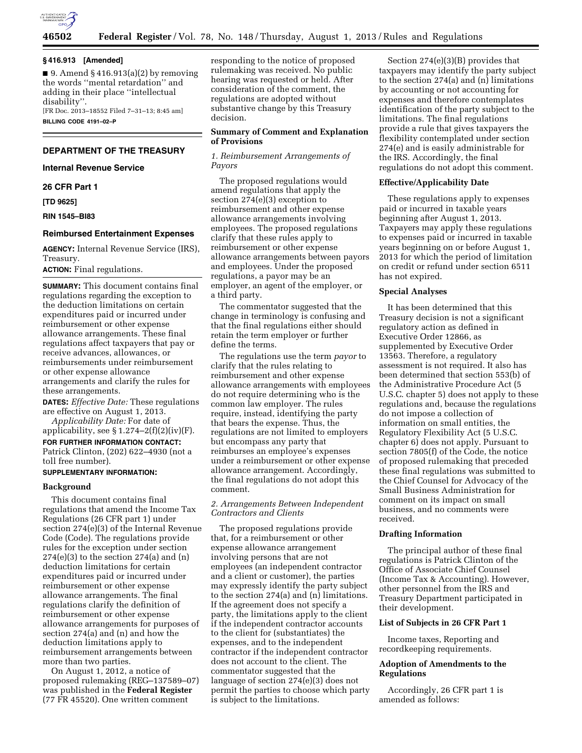

#### **§ 416.913 [Amended]**

 $\blacksquare$  9. Amend § 416.913(a)(2) by removing the words ''mental retardation'' and adding in their place ''intellectual disability''. [FR Doc. 2013–18552 Filed 7–31–13; 8:45 am] **BILLING CODE 4191–02–P** 

## **DEPARTMENT OF THE TREASURY**

## **Internal Revenue Service**

#### **26 CFR Part 1**

**[TD 9625]** 

#### **RIN 1545–BI83**

# **Reimbursed Entertainment Expenses**

**AGENCY:** Internal Revenue Service (IRS), Treasury.

**ACTION:** Final regulations.

**SUMMARY:** This document contains final regulations regarding the exception to the deduction limitations on certain expenditures paid or incurred under reimbursement or other expense allowance arrangements. These final regulations affect taxpayers that pay or receive advances, allowances, or reimbursements under reimbursement or other expense allowance arrangements and clarify the rules for these arrangements.

**DATES:** *Effective Date:* These regulations are effective on August 1, 2013.

*Applicability Date:* For date of applicability, see  $\S 1.274-2(f)(2)(iv)(F)$ .

**FOR FURTHER INFORMATION CONTACT:**  Patrick Clinton, (202) 622–4930 (not a toll free number).

# **SUPPLEMENTARY INFORMATION:**

## **Background**

This document contains final regulations that amend the Income Tax Regulations (26 CFR part 1) under section 274(e)(3) of the Internal Revenue Code (Code). The regulations provide rules for the exception under section  $274(e)(3)$  to the section  $274(a)$  and  $(n)$ deduction limitations for certain expenditures paid or incurred under reimbursement or other expense allowance arrangements. The final regulations clarify the definition of reimbursement or other expense allowance arrangements for purposes of section 274(a) and (n) and how the deduction limitations apply to reimbursement arrangements between more than two parties.

On August 1, 2012, a notice of proposed rulemaking (REG–137589–07) was published in the **Federal Register**  (77 FR 45520). One written comment

responding to the notice of proposed rulemaking was received. No public hearing was requested or held. After consideration of the comment, the regulations are adopted without substantive change by this Treasury decision.

# **Summary of Comment and Explanation of Provisions**

*1. Reimbursement Arrangements of Payors* 

The proposed regulations would amend regulations that apply the section 274(e)(3) exception to reimbursement and other expense allowance arrangements involving employees. The proposed regulations clarify that these rules apply to reimbursement or other expense allowance arrangements between payors and employees. Under the proposed regulations, a payor may be an employer, an agent of the employer, or a third party.

The commentator suggested that the change in terminology is confusing and that the final regulations either should retain the term employer or further define the terms.

The regulations use the term *payor* to clarify that the rules relating to reimbursement and other expense allowance arrangements with employees do not require determining who is the common law employer. The rules require, instead, identifying the party that bears the expense. Thus, the regulations are not limited to employers but encompass any party that reimburses an employee's expenses under a reimbursement or other expense allowance arrangement. Accordingly, the final regulations do not adopt this comment.

## *2. Arrangements Between Independent Contractors and Clients*

The proposed regulations provide that, for a reimbursement or other expense allowance arrangement involving persons that are not employees (an independent contractor and a client or customer), the parties may expressly identify the party subject to the section 274(a) and (n) limitations. If the agreement does not specify a party, the limitations apply to the client if the independent contractor accounts to the client for (substantiates) the expenses, and to the independent contractor if the independent contractor does not account to the client. The commentator suggested that the language of section 274(e)(3) does not permit the parties to choose which party is subject to the limitations.

Section 274(e)(3)(B) provides that taxpayers may identify the party subject to the section 274(a) and (n) limitations by accounting or not accounting for expenses and therefore contemplates identification of the party subject to the limitations. The final regulations provide a rule that gives taxpayers the flexibility contemplated under section 274(e) and is easily administrable for the IRS. Accordingly, the final regulations do not adopt this comment.

#### **Effective/Applicability Date**

These regulations apply to expenses paid or incurred in taxable years beginning after August 1, 2013. Taxpayers may apply these regulations to expenses paid or incurred in taxable years beginning on or before August 1, 2013 for which the period of limitation on credit or refund under section 6511 has not expired.

# **Special Analyses**

It has been determined that this Treasury decision is not a significant regulatory action as defined in Executive Order 12866, as supplemented by Executive Order 13563. Therefore, a regulatory assessment is not required. It also has been determined that section 553(b) of the Administrative Procedure Act (5 U.S.C. chapter 5) does not apply to these regulations and, because the regulations do not impose a collection of information on small entities, the Regulatory Flexibility Act (5 U.S.C. chapter 6) does not apply. Pursuant to section 7805(f) of the Code, the notice of proposed rulemaking that preceded these final regulations was submitted to the Chief Counsel for Advocacy of the Small Business Administration for comment on its impact on small business, and no comments were received.

### **Drafting Information**

The principal author of these final regulations is Patrick Clinton of the Office of Associate Chief Counsel (Income Tax & Accounting). However, other personnel from the IRS and Treasury Department participated in their development.

## **List of Subjects in 26 CFR Part 1**

Income taxes, Reporting and recordkeeping requirements.

# **Adoption of Amendments to the Regulations**

Accordingly, 26 CFR part 1 is amended as follows: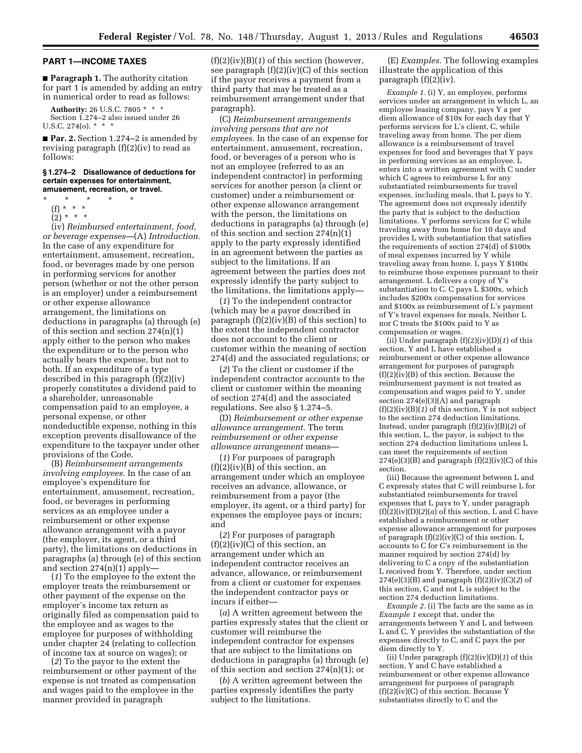# **PART 1—INCOME TAXES**

■ **Paragraph 1.** The authority citation for part 1 is amended by adding an entry in numerical order to read as follows:

**Authority:** 26 U.S.C. 7805 \* \* \* Section 1.274–2 also issued under 26 U.S.C. 274(o). \*  $*$ 

■ **Par. 2.** Section 1.274–2 is amended by revising paragraph (f)(2)(iv) to read as follows:

#### **§ 1.274–2 Disallowance of deductions for certain expenses for entertainment, amusement, recreation, or travel.**

- \* \* \* \* \*
	- (f) \* \* \*
	- $(2) * * * *$

(iv) *Reimbursed entertainment, food, or beverage expenses*—(A) *Introduction.*  In the case of any expenditure for entertainment, amusement, recreation, food, or beverages made by one person in performing services for another person (whether or not the other person is an employer) under a reimbursement or other expense allowance arrangement, the limitations on deductions in paragraphs (a) through (e) of this section and section 274(n)(1) apply either to the person who makes the expenditure or to the person who actually bears the expense, but not to both. If an expenditure of a type described in this paragraph (f)(2)(iv) properly constitutes a dividend paid to a shareholder, unreasonable compensation paid to an employee, a personal expense, or other nondeductible expense, nothing in this exception prevents disallowance of the expenditure to the taxpayer under other provisions of the Code.

(B) *Reimbursement arrangements involving employees.* In the case of an employee's expenditure for entertainment, amusement, recreation, food, or beverages in performing services as an employee under a reimbursement or other expense allowance arrangement with a payor (the employer, its agent, or a third party), the limitations on deductions in paragraphs (a) through (e) of this section and section 274(n)(1) apply—

(*1*) To the employee to the extent the employer treats the reimbursement or other payment of the expense on the employer's income tax return as originally filed as compensation paid to the employee and as wages to the employee for purposes of withholding under chapter 24 (relating to collection of income tax at source on wages); or

(*2*) To the payor to the extent the reimbursement or other payment of the expense is not treated as compensation and wages paid to the employee in the manner provided in paragraph

(f)(2)(iv)(B)(*1*) of this section (however, see paragraph  $(f)(2)(iv)(C)$  of this section if the payor receives a payment from a third party that may be treated as a reimbursement arrangement under that paragraph).

(C) *Reimbursement arrangements involving persons that are not employees.* In the case of an expense for entertainment, amusement, recreation, food, or beverages of a person who is not an employee (referred to as an independent contractor) in performing services for another person (a client or customer) under a reimbursement or other expense allowance arrangement with the person, the limitations on deductions in paragraphs (a) through (e) of this section and section 274(n)(1) apply to the party expressly identified in an agreement between the parties as subject to the limitations. If an agreement between the parties does not expressly identify the party subject to the limitations, the limitations apply—

(*1*) To the independent contractor (which may be a payor described in paragraph (f)(2)(iv)(B) of this section) to the extent the independent contractor does not account to the client or customer within the meaning of section 274(d) and the associated regulations; or

(*2*) To the client or customer if the independent contractor accounts to the client or customer within the meaning of section 274(d) and the associated regulations. See also § 1.274–5.

(D) *Reimbursement or other expense allowance arrangement.* The term *reimbursement or other expense allowance arrangement* means—

(*1*) For purposes of paragraph  $(f)(2)(iv)(B)$  of this section, an arrangement under which an employee receives an advance, allowance, or reimbursement from a payor (the employer, its agent, or a third party) for expenses the employee pays or incurs; and

(*2*) For purposes of paragraph  $(f)(2)(iv)(C)$  of this section, an arrangement under which an independent contractor receives an advance, allowance, or reimbursement from a client or customer for expenses the independent contractor pays or incurs if either—

(*a*) A written agreement between the parties expressly states that the client or customer will reimburse the independent contractor for expenses that are subject to the limitations on deductions in paragraphs (a) through (e) of this section and section 274(n)(1); or

(*b*) A written agreement between the parties expressly identifies the party subject to the limitations.

(E) *Examples.* The following examples illustrate the application of this paragraph (f)(2)(iv).

*Example 1.* (i) Y, an employee, performs services under an arrangement in which L, an employee leasing company, pays Y a per diem allowance of \$10x for each day that Y performs services for L's client, C, while traveling away from home. The per diem allowance is a reimbursement of travel expenses for food and beverages that Y pays in performing services as an employee. L enters into a written agreement with C under which C agrees to reimburse L for any substantiated reimbursements for travel expenses, including meals, that L pays to Y. The agreement does not expressly identify the party that is subject to the deduction limitations. Y performs services for C while traveling away from home for 10 days and provides L with substantiation that satisfies the requirements of section 274(d) of \$100x of meal expenses incurred by Y while traveling away from home. L pays Y \$100x to reimburse those expenses pursuant to their arrangement. L delivers a copy of Y's substantiation to C. C pays  $\dot{\mathsf{L}}$  \$300x, which includes \$200x compensation for services and \$100x as reimbursement of L's payment of Y's travel expenses for meals. Neither L nor C treats the \$100x paid to Y as compensation or wages.

(ii) Under paragraph (f)(2)(iv)(D)(*1*) of this section, Y and L have established a reimbursement or other expense allowance arrangement for purposes of paragraph  $(f)(2)(iv)(B)$  of this section. Because the reimbursement payment is not treated as compensation and wages paid to Y, under section 274(e)(3)(A) and paragraph  $(f)(2)(iv)(B)(1)$  of this section, Y is not subject to the section 274 deduction limitations. Instead, under paragraph (f)(2)(iv)(B)(*2*) of this section, L, the payor, is subject to the section 274 deduction limitations unless L can meet the requirements of section  $274(e)(3)(B)$  and paragraph  $(f)(2)(iv)(C)$  of this section.

(iii) Because the agreement between L and C expressly states that C will reimburse L for substantiated reimbursements for travel expenses that L pays to Y, under paragraph  $(f)(i)(iv)(D)(2)(a)$  of this section,  $\hat{L}$  and  $\hat{C}$  have established a reimbursement or other expense allowance arrangement for purposes of paragraph  $(f)(2)(iv)(C)$  of this section. L accounts to C for C's reimbursement in the manner required by section 274(d) by delivering to C a copy of the substantiation L received from Y. Therefore, under section 274(e)(3)(B) and paragraph (f)(2)(iv)(C)(*2*) of this section, C and not L is subject to the section 274 deduction limitations.

*Example 2.* (i) The facts are the same as in *Example 1* except that, under the arrangements between Y and L and between L and C, Y provides the substantiation of the expenses directly to C, and C pays the per diem directly to Y.

(ii) Under paragraph (f)(2)(iv)(D)(*1*) of this section, Y and C have established a reimbursement or other expense allowance arrangement for purposes of paragraph  $(f)(2)(iv)(C)$  of this section. Because Y substantiates directly to C and the